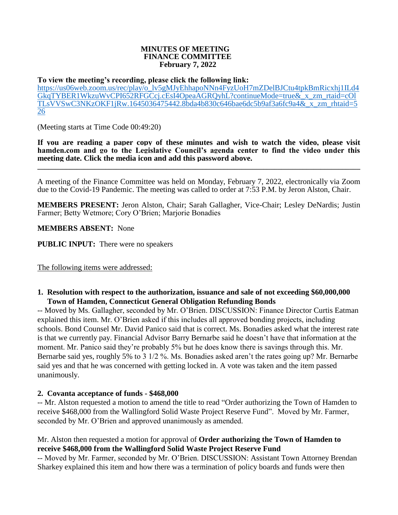#### **MINUTES OF MEETING FINANCE COMMITTEE February 7, 2022**

#### **To view the meeting's recording, please click the following link:**

[https://us06web.zoom.us/rec/play/o\\_lv5gMJyEhhapoNNn4FyzUoH7mZDelBJCtu4tpkBmRicxhj1ILd4](https://us06web.zoom.us/rec/play/o_lv5gMJyEhhapoNNn4FyzUoH7mZDelBJCtu4tpkBmRicxhj1ILd4GkqTYBER1WkzuWvCPI652RFGCcj.cEsI4OpeaAGRQyhL?continueMode=true&_x_zm_rtaid=cOlTLsVVSwC3NKzOKF1jRw.1645036475442.8bda4b830c646bae6dc5b9af3a6fc9a4&_x_zm_rhtaid=526) [GkqTYBER1WkzuWvCPI652RFGCcj.cEsI4OpeaAGRQyhL?continueMode=true&\\_x\\_zm\\_rtaid=cOl](https://us06web.zoom.us/rec/play/o_lv5gMJyEhhapoNNn4FyzUoH7mZDelBJCtu4tpkBmRicxhj1ILd4GkqTYBER1WkzuWvCPI652RFGCcj.cEsI4OpeaAGRQyhL?continueMode=true&_x_zm_rtaid=cOlTLsVVSwC3NKzOKF1jRw.1645036475442.8bda4b830c646bae6dc5b9af3a6fc9a4&_x_zm_rhtaid=526) [TLsVVSwC3NKzOKF1jRw.1645036475442.8bda4b830c646bae6dc5b9af3a6fc9a4&\\_x\\_zm\\_rhtaid=5](https://us06web.zoom.us/rec/play/o_lv5gMJyEhhapoNNn4FyzUoH7mZDelBJCtu4tpkBmRicxhj1ILd4GkqTYBER1WkzuWvCPI652RFGCcj.cEsI4OpeaAGRQyhL?continueMode=true&_x_zm_rtaid=cOlTLsVVSwC3NKzOKF1jRw.1645036475442.8bda4b830c646bae6dc5b9af3a6fc9a4&_x_zm_rhtaid=526) [26](https://us06web.zoom.us/rec/play/o_lv5gMJyEhhapoNNn4FyzUoH7mZDelBJCtu4tpkBmRicxhj1ILd4GkqTYBER1WkzuWvCPI652RFGCcj.cEsI4OpeaAGRQyhL?continueMode=true&_x_zm_rtaid=cOlTLsVVSwC3NKzOKF1jRw.1645036475442.8bda4b830c646bae6dc5b9af3a6fc9a4&_x_zm_rhtaid=526)

(Meeting starts at Time Code 00:49:20)

**If you are reading a paper copy of these minutes and wish to watch the video, please visit hamden.com and go to the Legislative Council's agenda center to find the video under this meeting date. Click the media icon and add this password above. \_\_\_\_\_\_\_\_\_\_\_\_\_\_\_\_\_\_\_\_\_\_\_\_\_\_\_\_\_\_\_\_\_\_\_\_\_\_\_\_\_\_\_\_\_\_\_\_\_\_\_\_\_\_\_\_\_\_\_\_\_\_\_\_\_\_\_\_\_\_\_\_\_\_\_\_\_\_\_\_\_\_\_\_\_\_\_\_\_\_**

A meeting of the Finance Committee was held on Monday, February 7, 2022, electronically via Zoom due to the Covid-19 Pandemic. The meeting was called to order at 7:53 P.M. by Jeron Alston, Chair.

**MEMBERS PRESENT:** Jeron Alston, Chair; Sarah Gallagher, Vice-Chair; Lesley DeNardis; Justin Farmer; Betty Wetmore; Cory O'Brien; Marjorie Bonadies

**MEMBERS ABSENT:** None

**PUBLIC INPUT:** There were no speakers

The following items were addressed:

### **1. Resolution with respect to the authorization, issuance and sale of not exceeding \$60,000,000 Town of Hamden, Connecticut General Obligation Refunding Bonds**

-- Moved by Ms. Gallagher, seconded by Mr. O'Brien. DISCUSSION: Finance Director Curtis Eatman explained this item. Mr. O'Brien asked if this includes all approved bonding projects, including schools. Bond Counsel Mr. David Panico said that is correct. Ms. Bonadies asked what the interest rate is that we currently pay. Financial Advisor Barry Bernarbe said he doesn't have that information at the moment. Mr. Panico said they're probably 5% but he does know there is savings through this. Mr. Bernarbe said yes, roughly 5% to 3 1/2 %. Ms. Bonadies asked aren't the rates going up? Mr. Bernarbe said yes and that he was concerned with getting locked in. A vote was taken and the item passed unanimously.

### **2. Covanta acceptance of funds - \$468,000**

-- Mr. Alston requested a motion to amend the title to read "Order authorizing the Town of Hamden to receive \$468,000 from the Wallingford Solid Waste Project Reserve Fund". Moved by Mr. Farmer, seconded by Mr. O'Brien and approved unanimously as amended.

## Mr. Alston then requested a motion for approval of **Order authorizing the Town of Hamden to receive \$468,000 from the Wallingford Solid Waste Project Reserve Fund**

-- Moved by Mr. Farmer, seconded by Mr. O'Brien. DISCUSSION: Assistant Town Attorney Brendan Sharkey explained this item and how there was a termination of policy boards and funds were then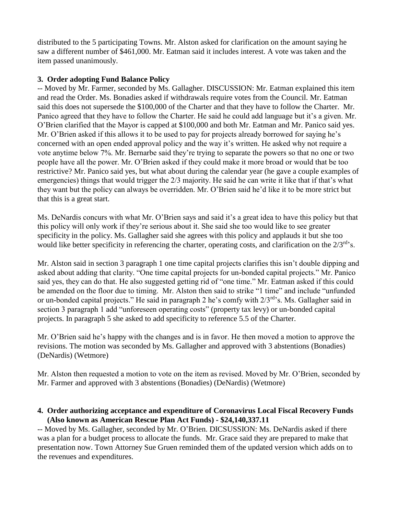distributed to the 5 participating Towns. Mr. Alston asked for clarification on the amount saying he saw a different number of \$461,000. Mr. Eatman said it includes interest. A vote was taken and the item passed unanimously.

# **3. Order adopting Fund Balance Policy**

-- Moved by Mr. Farmer, seconded by Ms. Gallagher. DISCUSSION: Mr. Eatman explained this item and read the Order. Ms. Bonadies asked if withdrawals require votes from the Council. Mr. Eatman said this does not supersede the \$100,000 of the Charter and that they have to follow the Charter. Mr. Panico agreed that they have to follow the Charter. He said he could add language but it's a given. Mr. O'Brien clarified that the Mayor is capped at \$100,000 and both Mr. Eatman and Mr. Panico said yes. Mr. O'Brien asked if this allows it to be used to pay for projects already borrowed for saying he's concerned with an open ended approval policy and the way it's written. He asked why not require a vote anytime below 7%. Mr. Bernarbe said they're trying to separate the powers so that no one or two people have all the power. Mr. O'Brien asked if they could make it more broad or would that be too restrictive? Mr. Panico said yes, but what about during the calendar year (he gave a couple examples of emergencies) things that would trigger the 2/3 majority. He said he can write it like that if that's what they want but the policy can always be overridden. Mr. O'Brien said he'd like it to be more strict but that this is a great start.

Ms. DeNardis concurs with what Mr. O'Brien says and said it's a great idea to have this policy but that this policy will only work if they're serious about it. She said she too would like to see greater specificity in the policy. Ms. Gallagher said she agrees with this policy and applauds it but she too would like better specificity in referencing the charter, operating costs, and clarification on the 2/3<sup>rd</sup>'s.

Mr. Alston said in section 3 paragraph 1 one time capital projects clarifies this isn't double dipping and asked about adding that clarity. "One time capital projects for un-bonded capital projects." Mr. Panico said yes, they can do that. He also suggested getting rid of "one time." Mr. Eatman asked if this could be amended on the floor due to timing. Mr. Alston then said to strike "1 time" and include "unfunded or un-bonded capital projects." He said in paragraph 2 he's comfy with  $2/3^{rd}$ 's. Ms. Gallagher said in section 3 paragraph 1 add "unforeseen operating costs" (property tax levy) or un-bonded capital projects. In paragraph 5 she asked to add specificity to reference 5.5 of the Charter.

Mr. O'Brien said he's happy with the changes and is in favor. He then moved a motion to approve the revisions. The motion was seconded by Ms. Gallagher and approved with 3 abstentions (Bonadies) (DeNardis) (Wetmore)

Mr. Alston then requested a motion to vote on the item as revised. Moved by Mr. O'Brien, seconded by Mr. Farmer and approved with 3 abstentions (Bonadies) (DeNardis) (Wetmore)

## **4. Order authorizing acceptance and expenditure of Coronavirus Local Fiscal Recovery Funds (Also known as American Rescue Plan Act Funds) - \$24,140,337.11**

-- Moved by Ms. Gallagher, seconded by Mr. O'Brien. DICSUSSION: Ms. DeNardis asked if there was a plan for a budget process to allocate the funds. Mr. Grace said they are prepared to make that presentation now. Town Attorney Sue Gruen reminded them of the updated version which adds on to the revenues and expenditures.